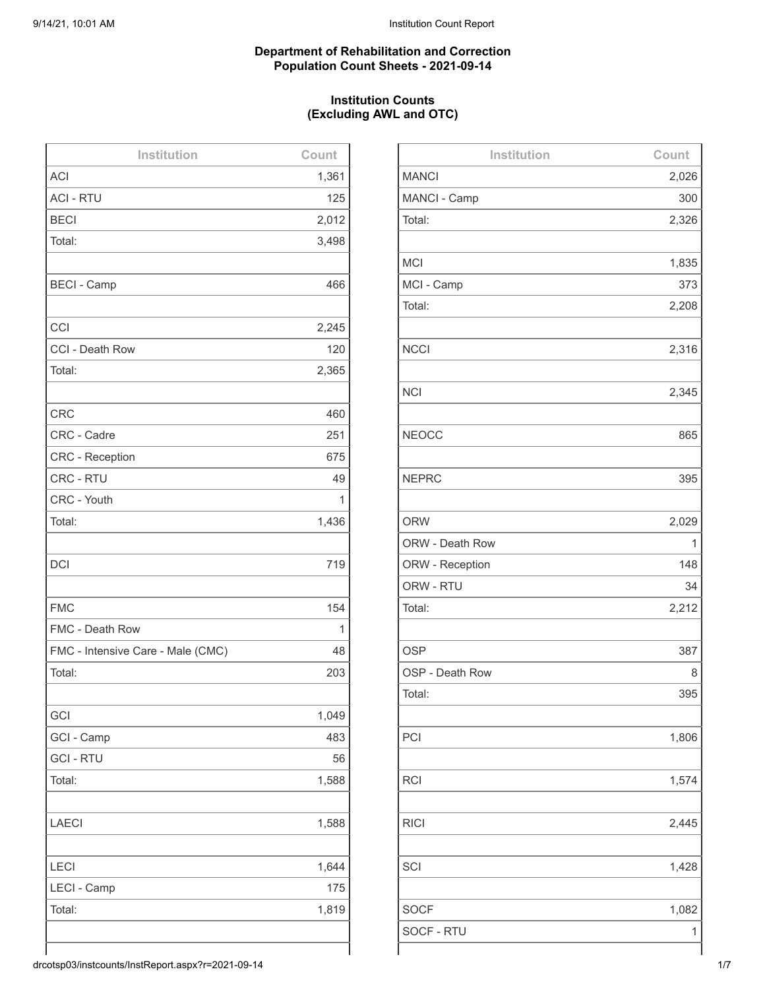#### **Department of Rehabilitation and Correction Population Count Sheets - 2021-09-14**

## **Institution Counts (Excluding AWL and OTC)**

| Institution                       | Count |
|-----------------------------------|-------|
| <b>ACI</b>                        | 1,361 |
| <b>ACI - RTU</b>                  | 125   |
| <b>BECI</b>                       | 2,012 |
| Total:                            | 3,498 |
|                                   |       |
| <b>BECI - Camp</b>                | 466   |
|                                   |       |
| CCI                               | 2,245 |
| CCI - Death Row                   | 120   |
| Total:                            | 2,365 |
|                                   |       |
| <b>CRC</b>                        | 460   |
| CRC - Cadre                       | 251   |
| <b>CRC - Reception</b>            | 675   |
| CRC - RTU                         | 49    |
| CRC - Youth                       | 1     |
| Total:                            | 1,436 |
|                                   |       |
| <b>DCI</b>                        | 719   |
|                                   |       |
| <b>FMC</b>                        | 154   |
| FMC - Death Row                   | 1     |
| FMC - Intensive Care - Male (CMC) | 48    |
| Total:                            | 203   |
|                                   |       |
| GCI                               | 1,049 |
| GCI - Camp                        | 483   |
| <b>GCI - RTU</b>                  | 56    |
| Total:                            | 1,588 |
|                                   |       |
| <b>LAECI</b>                      | 1,588 |
|                                   |       |
| <b>LECI</b>                       | 1,644 |
| LECI - Camp                       | 175   |
| Total:                            | 1,819 |
|                                   |       |
|                                   |       |

| Institution     | Count |
|-----------------|-------|
| <b>MANCI</b>    | 2,026 |
| MANCI - Camp    | 300   |
| Total:          | 2,326 |
|                 |       |
| <b>MCI</b>      | 1,835 |
| MCI - Camp      | 373   |
| Total:          | 2,208 |
|                 |       |
| <b>NCCI</b>     | 2,316 |
|                 |       |
| <b>NCI</b>      | 2,345 |
|                 |       |
| <b>NEOCC</b>    | 865   |
|                 |       |
| <b>NEPRC</b>    | 395   |
|                 |       |
| <b>ORW</b>      | 2,029 |
| ORW - Death Row | 1     |
| ORW - Reception | 148   |
| ORW - RTU       | 34    |
| Total:          | 2,212 |
|                 |       |
| <b>OSP</b>      | 387   |
| OSP - Death Row | 8     |
| Total:          | 395   |
|                 |       |
| PCI             | 1,806 |
|                 |       |
| <b>RCI</b>      | 1,574 |
|                 |       |
| <b>RICI</b>     | 2,445 |
|                 |       |
| SCI             | 1,428 |
|                 |       |
| <b>SOCF</b>     | 1,082 |
| SOCF - RTU      | 1     |
|                 |       |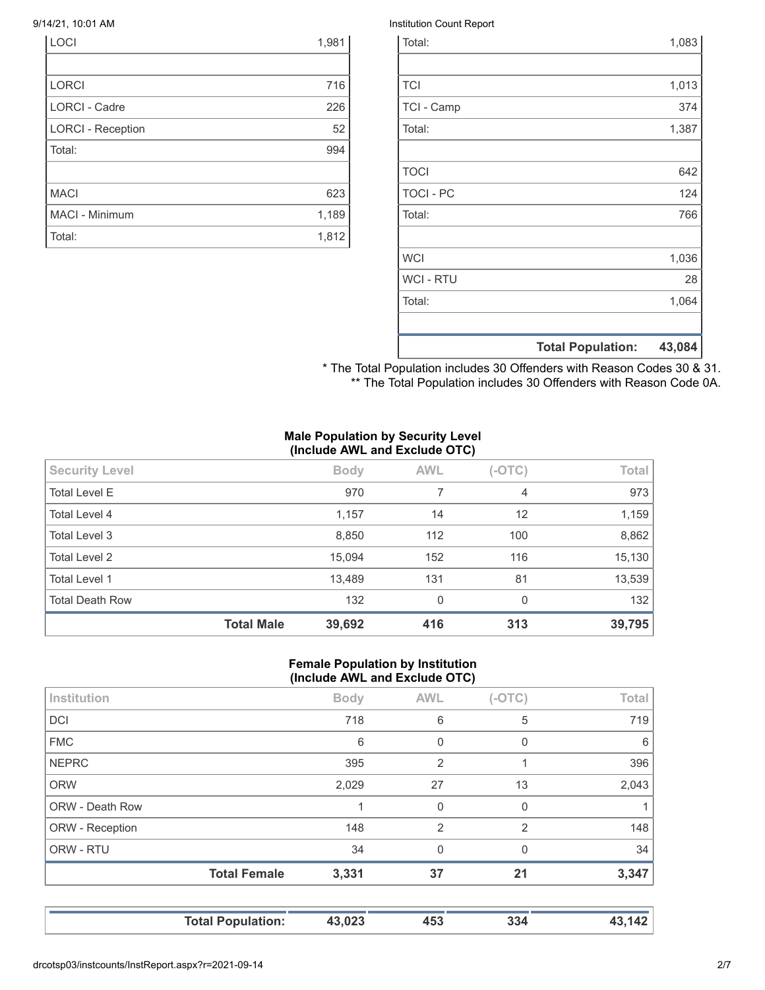| LOCI                     | 1,981 |
|--------------------------|-------|
|                          |       |
| <b>LORCI</b>             | 716   |
| <b>LORCI - Cadre</b>     | 226   |
| <b>LORCI - Reception</b> | 52    |
| Total:                   | 994   |
|                          |       |
| <b>MACI</b>              | 623   |
| MACI - Minimum           | 1,189 |
| Total:                   | 1,812 |

#### 9/14/21, 10:01 AM **Institution Count Report Institution Count Report**

|                  | <b>Total Population:</b> | 43,084 |
|------------------|--------------------------|--------|
|                  |                          |        |
| Total:           |                          | 1,064  |
| <b>WCI - RTU</b> |                          | 28     |
| <b>WCI</b>       |                          | 1,036  |
|                  |                          |        |
| Total:           |                          | 766    |
| <b>TOCI - PC</b> |                          | 124    |
| <b>TOCI</b>      |                          | 642    |
|                  |                          |        |
| Total:           |                          | 1,387  |
| TCI - Camp       |                          | 374    |
| <b>TCI</b>       |                          | 1,013  |
|                  |                          |        |
| Total:           |                          | 1,083  |

\* The Total Population includes 30 Offenders with Reason Codes 30 & 31. \*\* The Total Population includes 30 Offenders with Reason Code 0A.

#### **Male Population by Security Level (Include AWL and Exclude OTC)**

| <b>Total Level E</b><br>970<br>7<br>$\overline{4}$<br>12<br>Total Level 4<br>1,157<br>14<br>112<br>Total Level 3<br>8,850<br>100<br><b>Total Level 2</b><br>15,094<br>152<br>116<br><b>Total Level 1</b><br>13,489<br>131<br>81<br><b>Total Death Row</b><br>132<br>$\mathbf{0}$<br>$\Omega$ | 39,795 |
|----------------------------------------------------------------------------------------------------------------------------------------------------------------------------------------------------------------------------------------------------------------------------------------------|--------|
|                                                                                                                                                                                                                                                                                              | 132    |
|                                                                                                                                                                                                                                                                                              | 13,539 |
|                                                                                                                                                                                                                                                                                              | 15,130 |
|                                                                                                                                                                                                                                                                                              | 8,862  |
|                                                                                                                                                                                                                                                                                              | 1,159  |
|                                                                                                                                                                                                                                                                                              | 973    |
| <b>AWL</b><br>$(-OTC)$<br><b>Security Level</b><br><b>Body</b>                                                                                                                                                                                                                               | Total  |

#### **Female Population by Institution (Include AWL and Exclude OTC)**

| <b>Total Female</b> | 3,331       | 37             | 21             | 3,347        |
|---------------------|-------------|----------------|----------------|--------------|
|                     | 34          | 0              | 0              | 34           |
|                     | 148         | $\overline{2}$ | $\overline{2}$ | 148          |
|                     |             | $\mathbf 0$    | 0              |              |
|                     | 2,029       | 27             | 13             | 2,043        |
|                     | 395         | $\overline{2}$ |                | 396          |
|                     | 6           | 0              | 0              | 6            |
|                     | 718         | 6              | 5              | 719          |
|                     | <b>Body</b> | <b>AWL</b>     | $(-OTC)$       | <b>Total</b> |
|                     |             |                |                |              |

**Total Population: 43,023 453 334 43,142**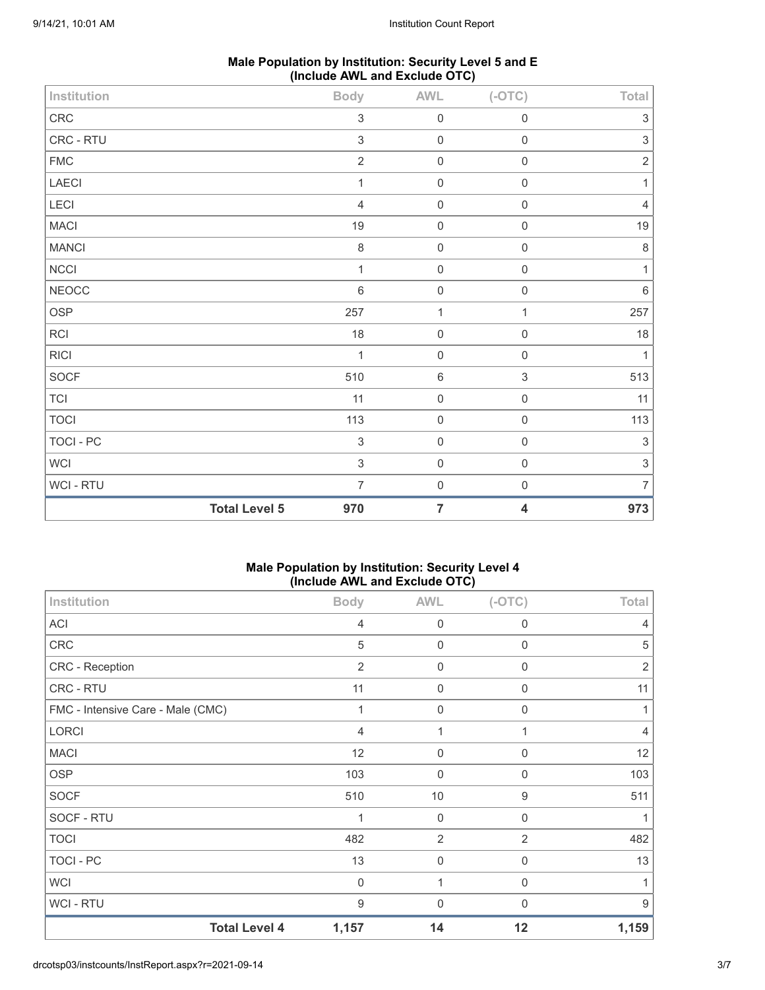| Male Population by Institution: Security Level 5 and E |
|--------------------------------------------------------|
| (Include AWL and Exclude OTC)                          |

| Institution   |                      | <b>Body</b>               | <b>AWL</b>     | $(-OTC)$            | Total                     |
|---------------|----------------------|---------------------------|----------------|---------------------|---------------------------|
| ${\sf CRC}$   |                      | $\mathfrak{S}$            | $\mathbf 0$    | $\mathsf{O}\xspace$ | $\sqrt{3}$                |
| CRC - RTU     |                      | $\ensuremath{\mathsf{3}}$ | $\mathbf 0$    | $\mathsf{O}\xspace$ | $\ensuremath{\mathsf{3}}$ |
| ${\sf FMC}$   |                      | $\sqrt{2}$                | $\mathbf 0$    | $\mathsf 0$         | $\sqrt{2}$                |
| LAECI         |                      | $\mathbf{1}$              | $\mathbf 0$    | $\mathsf{O}\xspace$ | $\mathbf{1}$              |
| LECI          |                      | $\overline{4}$            | $\mathbf 0$    | $\mathsf{O}\xspace$ | $\overline{4}$            |
| <b>MACI</b>   |                      | 19                        | $\mathbf 0$    | $\mathsf{O}\xspace$ | 19                        |
| <b>MANCI</b>  |                      | $\,8\,$                   | $\mathbf 0$    | $\mathsf{O}\xspace$ | $\,8\,$                   |
| NCCI          |                      | $\mathbf{1}$              | $\mathbf 0$    | $\mathsf{O}\xspace$ | $\mathbf{1}$              |
| ${\tt NEOCC}$ |                      | $\,6\,$                   | $\mathbf 0$    | $\mathbf 0$         | $\,6\,$                   |
| OSP           |                      | 257                       | $\mathbf{1}$   | $\mathbf{1}$        | 257                       |
| RCI           |                      | 18                        | $\mathbf 0$    | $\mathsf{O}\xspace$ | 18                        |
| <b>RICI</b>   |                      | 1                         | $\mathbf 0$    | $\mathsf{O}\xspace$ | $\mathbf{1}$              |
| SOCF          |                      | 510                       | $6\,$          | $\sqrt{3}$          | 513                       |
| TCI           |                      | 11                        | $\mathbf 0$    | $\mathsf{O}\xspace$ | 11                        |
| <b>TOCI</b>   |                      | 113                       | $\mathbf 0$    | $\mathsf{O}\xspace$ | 113                       |
| TOCI - PC     |                      | $\sqrt{3}$                | $\mathbf 0$    | $\mathsf 0$         | $\sqrt{3}$                |
| WCI           |                      | $\mathfrak{S}$            | $\mathbf 0$    | $\mathsf{O}\xspace$ | $\sqrt{3}$                |
| WCI - RTU     |                      | $\overline{7}$            | $\mathbf 0$    | $\mathsf{O}\xspace$ | $\overline{7}$            |
|               | <b>Total Level 5</b> | 970                       | $\overline{7}$ | 4                   | 973                       |

## **Male Population by Institution: Security Level 4 (Include AWL and Exclude OTC)**

| Institution                       | <b>Body</b>    | <b>AWL</b>       | $(-OTC)$    | Total          |
|-----------------------------------|----------------|------------------|-------------|----------------|
| <b>ACI</b>                        | $\overline{4}$ | $\mathbf 0$      | $\mathbf 0$ | 4              |
| CRC                               | 5              | $\mathbf 0$      | $\mathbf 0$ | 5              |
| <b>CRC - Reception</b>            | $\overline{2}$ | 0                | 0           | $\overline{2}$ |
| CRC - RTU                         | 11             | 0                | $\mathbf 0$ | 11             |
| FMC - Intensive Care - Male (CMC) | 1              | $\boldsymbol{0}$ | $\mathbf 0$ |                |
| LORCI                             | 4              | 1                | 1           | 4              |
| <b>MACI</b>                       | 12             | $\boldsymbol{0}$ | 0           | 12             |
| <b>OSP</b>                        | 103            | $\mathbf 0$      | $\mathbf 0$ | 103            |
| <b>SOCF</b>                       | 510            | $10$             | 9           | 511            |
| SOCF - RTU                        | 1              | 0                | $\mathbf 0$ |                |
| <b>TOCI</b>                       | 482            | $\overline{2}$   | 2           | 482            |
| TOCI - PC                         | 13             | $\boldsymbol{0}$ | $\mathbf 0$ | 13             |
| <b>WCI</b>                        | $\Omega$       | 1                | $\Omega$    |                |
| WCI - RTU                         | 9              | $\mathbf 0$      | 0           | 9              |
| <b>Total Level 4</b>              | 1,157          | 14               | 12          | 1,159          |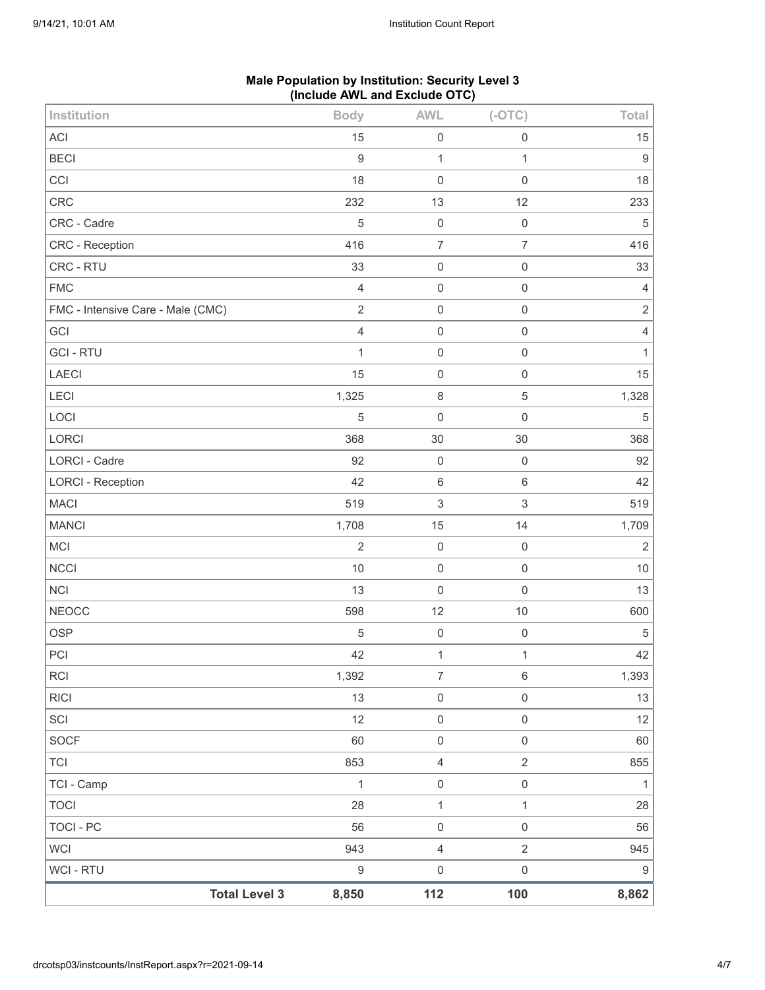|                                   | (include AVVL and Exclude $O(O)$ |                     |                     |                  |
|-----------------------------------|----------------------------------|---------------------|---------------------|------------------|
| Institution                       | <b>Body</b>                      | <b>AWL</b>          | $(-OTC)$            | Total            |
| ACI                               | 15                               | $\boldsymbol{0}$    | $\mathbf 0$         | 15               |
| <b>BECI</b>                       | $\boldsymbol{9}$                 | $\mathbf{1}$        | $\mathbf{1}$        | $\boldsymbol{9}$ |
| CCI                               | 18                               | $\boldsymbol{0}$    | $\mathsf{O}\xspace$ | 18               |
| <b>CRC</b>                        | 232                              | 13                  | 12                  | 233              |
| CRC - Cadre                       | 5                                | $\mathbf 0$         | $\mathbf 0$         | $\mathbf 5$      |
| CRC - Reception                   | 416                              | $\overline{7}$      | $\overline{7}$      | 416              |
| CRC - RTU                         | 33                               | $\boldsymbol{0}$    | $\mathsf 0$         | 33               |
| <b>FMC</b>                        | $\overline{4}$                   | $\boldsymbol{0}$    | $\mathsf 0$         | $\sqrt{4}$       |
| FMC - Intensive Care - Male (CMC) | $\sqrt{2}$                       | $\mathsf 0$         | $\mathsf{O}\xspace$ | $\sqrt{2}$       |
| GCI                               | $\overline{4}$                   | $\boldsymbol{0}$    | $\mathsf 0$         | $\sqrt{4}$       |
| <b>GCI-RTU</b>                    | $\mathbf{1}$                     | $\mathsf 0$         | $\mathbf 0$         | $\mathbf{1}$     |
| <b>LAECI</b>                      | 15                               | $\boldsymbol{0}$    | $\mathsf{O}\xspace$ | 15               |
| LECI                              | 1,325                            | $\,8\,$             | $\mathbf 5$         | 1,328            |
| LOCI                              | 5                                | $\mathbf 0$         | $\mathsf{O}\xspace$ | $\sqrt{5}$       |
| LORCI                             | 368                              | 30                  | 30                  | 368              |
| LORCI - Cadre                     | 92                               | $\boldsymbol{0}$    | $\mathbf 0$         | 92               |
| <b>LORCI - Reception</b>          | 42                               | $\,6\,$             | $\,6\,$             | 42               |
| <b>MACI</b>                       | 519                              | $\,$ 3 $\,$         | $\sqrt{3}$          | 519              |
| <b>MANCI</b>                      | 1,708                            | 15                  | 14                  | 1,709            |
| MCI                               | $\overline{2}$                   | $\mathbf 0$         | $\mathbf 0$         | $\sqrt{2}$       |
| <b>NCCI</b>                       | 10                               | $\mathbf 0$         | $\mathbf 0$         | $10$             |
| <b>NCI</b>                        | 13                               | $\mathbf 0$         | $\mathsf{O}\xspace$ | 13               |
| <b>NEOCC</b>                      | 598                              | 12                  | $10$                | 600              |
| OSP                               | 5                                | $\pmb{0}$           | $\mathbf 0$         | $\,$ 5 $\,$      |
| $\mathsf{PCI}$                    | 42                               | $\mathbf{1}$        | $\mathbf{1}$        | 42               |
| <b>RCI</b>                        | 1,392                            | $\overline{7}$      | $\,6\,$             | 1,393            |
| <b>RICI</b>                       | 13                               | $\mathsf{O}\xspace$ | $\mathsf{O}\xspace$ | 13               |
| SCI                               | 12                               | $\mathsf{O}\xspace$ | $\mathsf{O}\xspace$ | 12               |
| SOCF                              | 60                               | $\mathsf{O}\xspace$ | $\mathsf{O}\xspace$ | 60               |
| <b>TCI</b>                        | 853                              | $\overline{4}$      | $\overline{2}$      | 855              |
| TCI - Camp                        | $\mathbf{1}$                     | $\mathsf{O}\xspace$ | $\mathsf{O}\xspace$ | $\mathbf{1}$     |
| <b>TOCI</b>                       | 28                               | $\mathbf{1}$        | $\mathbf{1}$        | 28               |
| <b>TOCI - PC</b>                  | 56                               | $\mathsf{O}\xspace$ | $\mathsf{O}\xspace$ | 56               |
| <b>WCI</b>                        | 943                              | $\sqrt{4}$          | $\overline{2}$      | 945              |
| WCI - RTU                         | $\boldsymbol{9}$                 | $\mathsf 0$         | $\,0\,$             | $\boldsymbol{9}$ |
| <b>Total Level 3</b>              | 8,850                            | 112                 | 100                 | 8,862            |

# **Male Population by Institution: Security Level 3 (Include AWL and Exclude OTC)**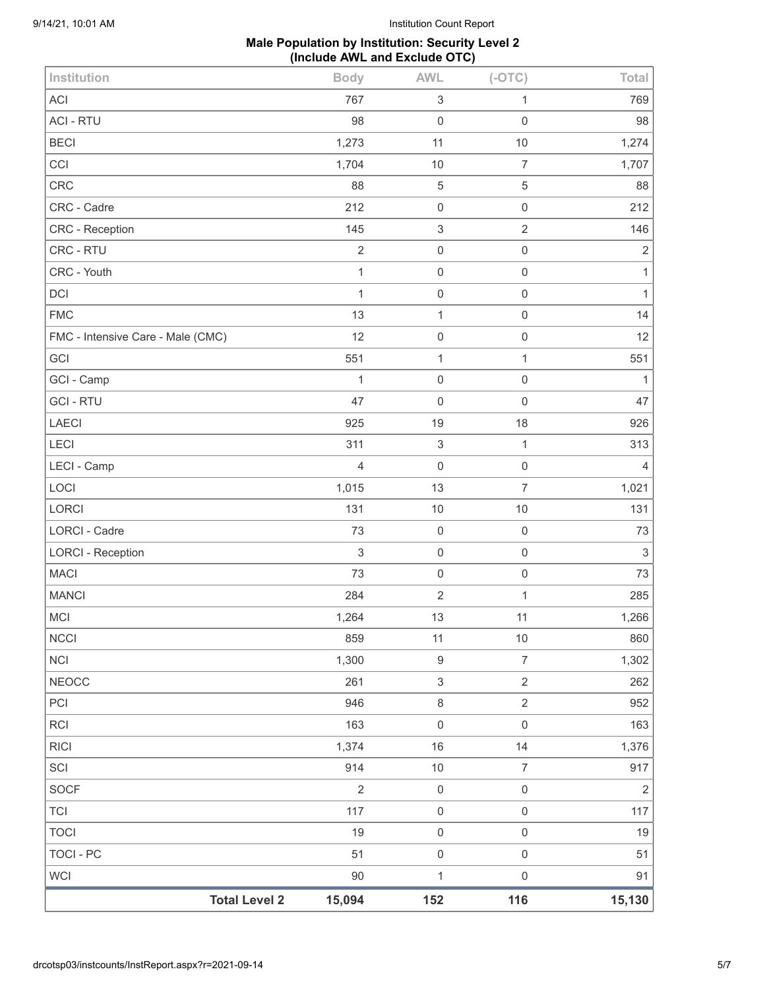## **Male Population by Institution: Security Level 2 (Include AWL and Exclude OTC)**

| Institution                       | <b>Body</b>    | <b>AWL</b>                | $(-OTC)$            | Total          |
|-----------------------------------|----------------|---------------------------|---------------------|----------------|
| <b>ACI</b>                        | 767            | $\ensuremath{\mathsf{3}}$ | 1                   | 769            |
| <b>ACI - RTU</b>                  | 98             | $\mathbf 0$               | $\mathsf{O}\xspace$ | 98             |
| <b>BECI</b>                       | 1,273          | 11                        | $10$                | 1,274          |
| CCI                               | 1,704          | 10                        | $\overline{7}$      | 1,707          |
| <b>CRC</b>                        | 88             | 5                         | $\mathbf 5$         | 88             |
| CRC - Cadre                       | 212            | $\,0\,$                   | $\mathsf{O}\xspace$ | 212            |
| CRC - Reception                   | 145            | $\ensuremath{\mathsf{3}}$ | $\overline{2}$      | 146            |
| CRC - RTU                         | $\sqrt{2}$     | $\mathbf 0$               | $\mathsf 0$         | $\sqrt{2}$     |
| CRC - Youth                       | $\mathbf{1}$   | $\mathbf 0$               | $\mathsf{O}\xspace$ | $\mathbf{1}$   |
| DCI                               | $\mathbf{1}$   | $\,0\,$                   | $\mathsf{O}\xspace$ | $\mathbf{1}$   |
| <b>FMC</b>                        | 13             | $\mathbf{1}$              | $\mathsf{O}\xspace$ | 14             |
| FMC - Intensive Care - Male (CMC) | 12             | $\mathbf 0$               | $\mathsf{O}\xspace$ | 12             |
| GCI                               | 551            | 1                         | $\mathbf{1}$        | 551            |
| GCI - Camp                        | 1              | $\mathbf 0$               | $\mathsf{O}\xspace$ | 1              |
| <b>GCI-RTU</b>                    | 47             | $\mathbf 0$               | $\mathsf{O}\xspace$ | 47             |
| <b>LAECI</b>                      | 925            | 19                        | 18                  | 926            |
| LECI                              | 311            | $\sqrt{3}$                | $\mathbf{1}$        | 313            |
| LECI - Camp                       | $\overline{4}$ | $\mathbf 0$               | $\mathsf{O}\xspace$ | $\overline{4}$ |
| LOCI                              | 1,015          | 13                        | $\overline{7}$      | 1,021          |
| LORCI                             | 131            | 10                        | 10                  | 131            |
| <b>LORCI - Cadre</b>              | 73             | $\mathbf 0$               | $\mathsf 0$         | 73             |
| <b>LORCI - Reception</b>          | $\mathfrak{S}$ | $\mathbf 0$               | $\mathsf{O}\xspace$ | $\sqrt{3}$     |
| <b>MACI</b>                       | 73             | $\mathbf 0$               | $\mathsf{O}\xspace$ | 73             |
| <b>MANCI</b>                      | 284            | $\sqrt{2}$                | $\mathbf{1}$        | 285            |
| MCI                               | 1,264          | 13                        | 11                  | 1,266          |
| <b>NCCI</b>                       | 859            | 11                        | $10\,$              | 860            |
| <b>NCI</b>                        | 1,300          | $\boldsymbol{9}$          | $\overline{7}$      | 1,302          |
| <b>NEOCC</b>                      | 261            | 3                         | $\overline{2}$      | 262            |
| PCI                               | 946            | $\,8\,$                   | $\overline{2}$      | 952            |
| <b>RCI</b>                        | 163            | $\mathbf 0$               | $\mathsf{O}\xspace$ | 163            |
| <b>RICI</b>                       | 1,374          | 16                        | 14                  | 1,376          |
| SCI                               | 914            | $10$                      | $\overline{7}$      | 917            |
| <b>SOCF</b>                       | $\overline{2}$ | $\mathbf 0$               | $\mathsf{O}\xspace$ | $\overline{2}$ |
| <b>TCI</b>                        | 117            | $\mathbf 0$               | $\mathsf{O}\xspace$ | 117            |
| <b>TOCI</b>                       | 19             | $\mathbf 0$               | $\mathsf{O}\xspace$ | 19             |
| <b>TOCI - PC</b>                  | 51             | $\mathbf 0$               | $\mathsf{O}\xspace$ | 51             |
| <b>WCI</b>                        | 90             | $\mathbf 1$               | $\mathsf 0$         | 91             |
| <b>Total Level 2</b>              | 15,094         | 152                       | 116                 | 15,130         |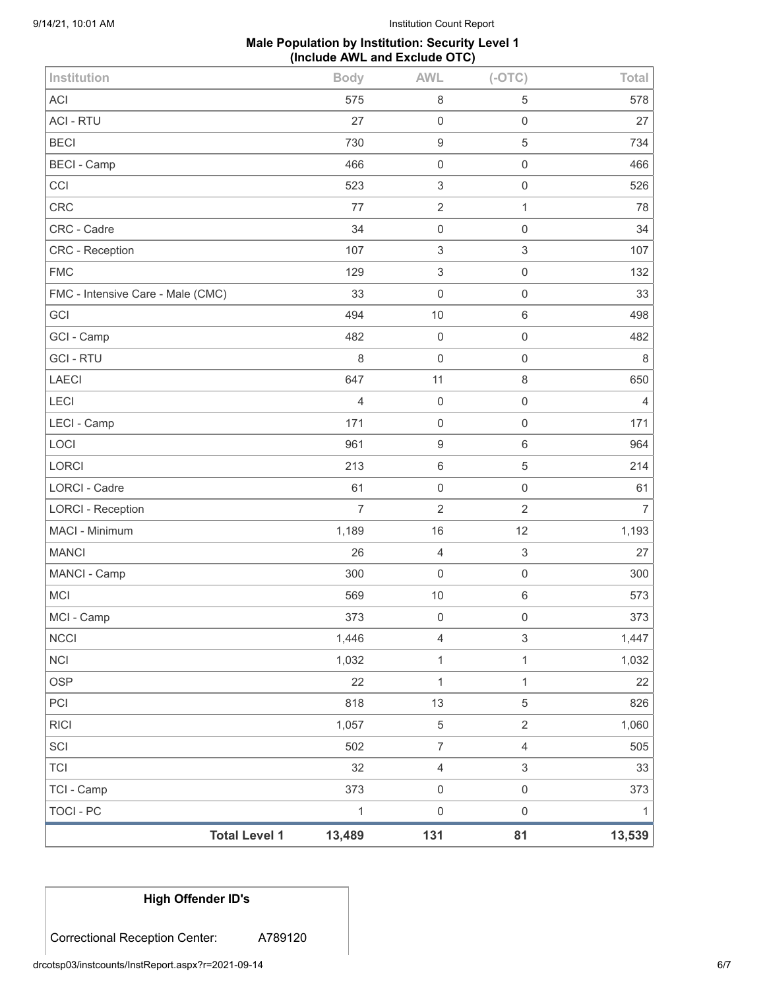## **Male Population by Institution: Security Level 1 (Include AWL and Exclude OTC)**

| <b>Total Level 1</b>              | 13,489         | 131                       | 81                        | 13,539         |
|-----------------------------------|----------------|---------------------------|---------------------------|----------------|
| <b>TOCI - PC</b>                  | $\mathbf{1}$   | $\mathbf 0$               | $\mathsf{O}\xspace$       | 1              |
| TCI - Camp                        | 373            | $\mathbf 0$               | $\mathsf{O}\xspace$       | 373            |
| <b>TCI</b>                        | 32             | $\overline{4}$            | $\mathfrak{S}$            | 33             |
| SCI                               | 502            | $\overline{7}$            | $\overline{4}$            | 505            |
| <b>RICI</b>                       | 1,057          | $\,$ 5 $\,$               | $\overline{2}$            | 1,060          |
| PCI                               | 818            | 13                        | 5                         | 826            |
| <b>OSP</b>                        | 22             | $\mathbf{1}$              | $\mathbf{1}$              | 22             |
| <b>NCI</b>                        | 1,032          | $\mathbf{1}$              | $\mathbf{1}$              | 1,032          |
| <b>NCCI</b>                       | 1,446          | $\sqrt{4}$                | $\ensuremath{\mathsf{3}}$ | 1,447          |
| MCI - Camp                        | 373            | $\mathbf 0$               | $\mathsf 0$               | 373            |
| MCI                               | 569            | 10                        | 6                         | 573            |
| MANCI - Camp                      | 300            | $\mathbf 0$               | $\mathsf{O}\xspace$       | 300            |
| <b>MANCI</b>                      | 26             | $\overline{4}$            | $\ensuremath{\mathsf{3}}$ | 27             |
| MACI - Minimum                    | 1,189          | 16                        | 12                        | 1,193          |
| <b>LORCI - Reception</b>          | $\overline{7}$ | $\overline{2}$            | $\overline{2}$            | $\overline{7}$ |
| <b>LORCI - Cadre</b>              | 61             | $\mathbf 0$               | $\mathsf{O}\xspace$       | 61             |
| <b>LORCI</b>                      | 213            | $\,6\,$                   | $\mathbf 5$               | 214            |
| LOCI                              | 961            | $\boldsymbol{9}$          | 6                         | 964            |
| LECI - Camp                       | 171            | $\mathbf 0$               | $\mathsf{O}\xspace$       | 171            |
| LECI                              | 4              | $\mathbf 0$               | $\mathsf 0$               | 4              |
| <b>LAECI</b>                      | 647            | 11                        | 8                         | 650            |
| <b>GCI-RTU</b>                    | 8              | $\mathbf 0$               | $\mathsf{O}\xspace$       | 8              |
| GCI - Camp                        | 482            | $\mathbf 0$               | $\mathsf{O}\xspace$       | 482            |
| GCI                               | 494            | 10                        | 6                         | 498            |
| FMC - Intensive Care - Male (CMC) | 33             | $\mathbf 0$               | $\mathsf{O}\xspace$       | 33             |
| <b>FMC</b>                        | 129            | $\ensuremath{\mathsf{3}}$ | $\mathsf 0$               | 132            |
| CRC - Reception                   | 107            | $\sqrt{3}$                | $\ensuremath{\mathsf{3}}$ | 107            |
| CRC - Cadre                       | 34             | $\mathbf 0$               | $\mathsf 0$               | 34             |
| <b>CRC</b>                        | 77             | $\overline{2}$            | $\mathbf{1}$              | 78             |
| CCI                               | 523            | 3                         | $\mathsf 0$               | 526            |
| <b>BECI - Camp</b>                | 466            | $\mathbf 0$               | $\mathsf 0$               | 466            |
| <b>BECI</b>                       | 730            | $\boldsymbol{9}$          | 5                         | 734            |
| <b>ACI - RTU</b>                  | 27             | $\mathbf 0$               | $\mathsf{O}\xspace$       | 27             |
| <b>ACI</b>                        | 575            | 8                         | 5                         | 578            |
| Institution                       | <b>Body</b>    | <b>AWL</b>                | $(-OTC)$                  | Total          |

**High Offender ID's**

Correctional Reception Center: A789120